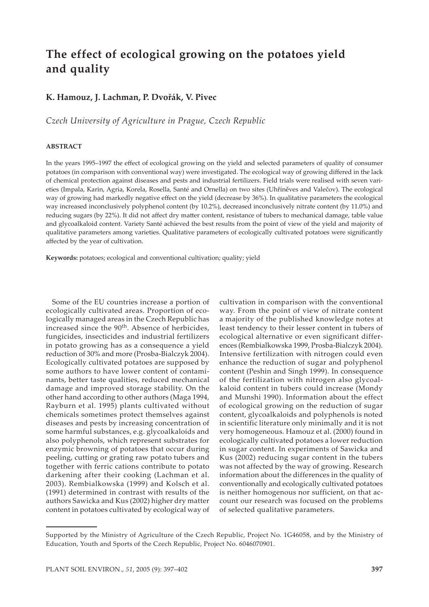# **The effect of ecological growing on the potatoes yield and quality**

## **K. Hamouz, J. Lachman, P. Dvořák, V. Pivec**

*Czech University of Agriculture in Prague, Czech Republic*

#### **ABSTRACT**

In the years 1995–1997 the effect of ecological growing on the yield and selected parameters of quality of consumer potatoes (in comparison with conventional way) were investigated. The ecological way of growing differed in the lack of chemical protection against diseases and pests and industrial fertilizers. Field trials were realised with seven varieties (Impala, Karin, Agria, Korela, Rosella, Santé and Ornella) on two sites (Uhříněves and Valečov). The ecological way of growing had markedly negative effect on the yield (decrease by 36%). In qualitative parameters the ecological way increased inconclusively polyphenol content (by 10.2%), decreased inconclusively nitrate content (by 11.0%) and reducing sugars (by 22%). It did not affect dry matter content, resistance of tubers to mechanical damage, table value and glycoalkaloid content. Variety Santé achieved the best results from the point of view of the yield and majority of qualitative parameters among varieties. Qualitative parameters of ecologically cultivated potatoes were significantly affected by the year of cultivation.

**Keywords:** potatoes; ecological and conventional cultivation; quality; yield

Some of the EU countries increase a portion of ecologically cultivated areas. Proportion of ecologically managed areas in the Czech Republic has increased since the  $90<sup>th</sup>$ . Absence of herbicides, fungicides, insecticides and industrial fertilizers in potato growing has as a consequence a yield reduction of 30% and more (Prosba-Bialczyk 2004). Ecologically cultivated potatoes are supposed by some authors to have lower content of contaminants, better taste qualities, reduced mechanical damage and improved storage stability. On the other hand according to other authors (Maga 1994, Rayburn et al. 1995) plants cultivated without chemicals sometimes protect themselves against diseases and pests by increasing concentration of some harmful substances, e.g. glycoalkaloids and also polyphenols, which represent substrates for enzymic browning of potatoes that occur during peeling, cutting or grating raw potato tubers and together with ferric cations contribute to potato darkening after their cooking (Lachman et al. 2003). Rembialkowska (1999) and Kolsch et al. (1991) determined in contrast with results of the authors Sawicka and Kus (2002) higher dry matter content in potatoes cultivated by ecological way of

cultivation in comparison with the conventional way. From the point of view of nitrate content a majority of the published knowledge notes at least tendency to their lesser content in tubers of ecological alternative or even significant differences (Rembialkowska 1999, Prosba-Bialczyk 2004). Intensive fertilization with nitrogen could even enhance the reduction of sugar and polyphenol content (Peshin and Singh 1999). In consequence of the fertilization with nitrogen also glycoalkaloid content in tubers could increase (Mondy and Munshi 1990). Information about the effect of ecological growing on the reduction of sugar content, glycoalkaloids and polyphenols is noted in scientific literature only minimally and it is not very homogeneous. Hamouz et al. (2000) found in ecologically cultivated potatoes a lower reduction in sugar content. In experiments of Sawicka and Kus (2002) reducing sugar content in the tubers was not affected by the way of growing. Research information about the differences in the quality of conventionally and ecologically cultivated potatoes is neither homogenous nor sufficient, on that account our research was focused on the problems of selected qualitative parameters.

Supported by the Ministry of Agriculture of the Czech Republic, Project No. 1G46058, and by the Ministry of Education, Youth and Sports of the Czech Republic, Project No. 6046070901.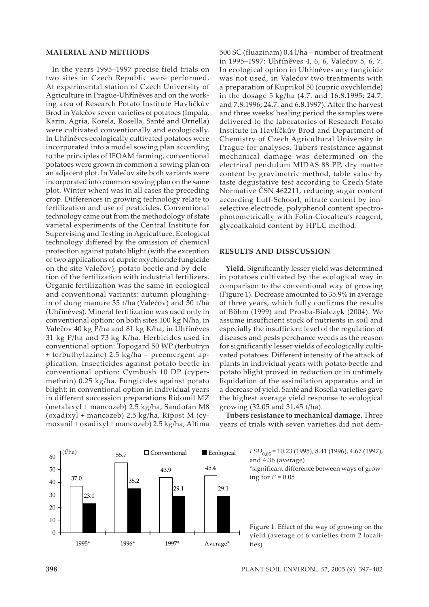### **MATERIAL AND METHODS**

In the years 1995–1997 precise field trials on two sites in Czech Republic were performed. At experimental station of Czech University of Agriculture in Prague-Uhříněves and on the working area of Research Potato Institute Havlíčkův Brod in Valečov seven varieties of potatoes (Impala, Karin, Agria, Korela, Rosella, Santé and Ornella) were cultivated conventionally and ecologically. In Uhříněves ecologically cultivated potatoes were incorporated into a model sowing plan according to the principles of IFOAM farming, conventional potatoes were grown in common a sowing plan on an adjacent plot. In Valečov site both variants were incorporated into common sowing plan on the same plot. Winter wheat was in all cases the preceding crop. Differences in growing technology relate to fertilization and use of pesticides. Conventional technology came out from the methodology of state varietal experiments of the Central Institute for Supervising and Testing in Agriculture. Ecological technology differed by the omission of chemical protection against potato blight (with the exception of two applications of cupric oxychloride fungicide on the site Valečov), potato beetle and by deletion of the fertilization with industrial fertilizers. Organic fertilization was the same in ecological and conventional variants: autumn ploughingin of dung manure 35 t/ha (Valečov) and 30 t/ha (Uhříněves). Mineral fertilization was used only in conventional option: on both sites 100 kg N/ha, in Valečov 40 kg P/ha and 81 kg K/ha, in Uhříněves 31 kg P/ha and 73 kg K/ha. Herbicides used in conventional option: Topogard 50 WP (terbutryn + terbuthylazine) 2.5 kg/ha – preemergent application. Insecticides against potato beetle in conventional option: Cymbush 10 DP (cypermethrin) 0.25 kg/ha. Fungicides against potato blight: in conventional option in individual years in different succession preparations Ridomil MZ (metalaxyl + mancozeb) 2.5 kg/ha, Sandofan M8 (oxadixyl + mancozeb) 2.5 kg/ha, Ripost M (cymoxanil + oxadixyl + mancozeb) 2.5 kg/ha, Altima

500 SC (fluazinam) 0.4 l/ha – number of treatment in 1995–1997: Uhříněves 4, 6, 6, Valečov 5, 6, 7. In ecological option in Uhříněves any fungicide was not used, in Valečov two treatments with a preparation of Kuprikol 50 (cupric oxychloride) in the dosage 5 kg/ha (4.7. and 16.8.1995; 24.7. and 7.8.1996; 24.7. and 6.8.1997). After the harvest and three weeks' healing period the samples were delivered to the laboratories of Research Potato Institute in Havlíčkův Brod and Department of Chemistry of Czech Agricultural University in Prague for analyses. Tubers resistance against mechanical damage was determined on the electrical pendulum MIDAS 88 PP, dry matter content by gravimetric method, table value by taste degustative test according to Czech State Normative ČSN 462211, reducing sugar content according Luff-Schoorl, nitrate content by ionselective electrode, polyphenol content spectrophotometrically with Folin-Ciocalteu's reagent, glycoalkaloid content by HPLC method.

#### **RESULTS AND DISSCUSSION**

**Yield.** Significantly lesser yield was determined in potatoes cultivated by the ecological way in comparison to the conventional way of growing (Figure 1). Decrease amounted to 35.9% in average of three years, which fully confirms the results of Böhm (1999) and Prosba-Bialczyk (2004). We assume insufficient stock of nutrients in soil and especially the insufficient level of the regulation of diseases and pests perchance weeds as the reason for significantly lesser yields of ecologically cultivated potatoes. Different intensity of the attack of plants in individual years with potato beetle and potato blight proved in reduction or in untimely liquidation of the assimilation apparatus and in a decrease of yield. Santé and Rosella varieties gave the highest average yield response to ecological growing (32.05 and 31.45 t/ha).

**Tubers resistance to mechanical damage.** Three years of trials with seven varieties did not dem-



**□ Conventional ■ Ecological** *LSD*<sub>0.05</sub> = 10.23 (1995), 8.41 (1996), 4.67 (1997), and 4.36 (average)

\*significant difference between ways of growing for  $P = 0.05$ 

Figure 1. Effect of the way of growing on the yield (average of 6 varieties from 2 localities)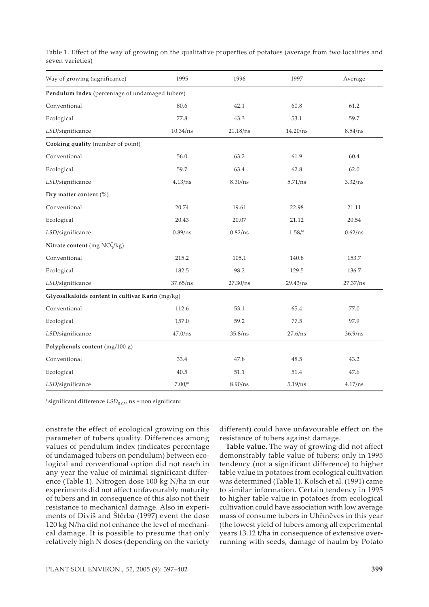| Way of growing (significance)                    | 1995       | 1996     | 1997       | Average  |
|--------------------------------------------------|------------|----------|------------|----------|
| Pendulum index (percentage of undamaged tubers)  |            |          |            |          |
| Conventional                                     | 80.6       | 42.1     | 60.8       | 61.2     |
| Ecological                                       | 77.8       | 43.3     | 53.1       | 59.7     |
| LSD/significance                                 | 10.34/ns   | 21.18/ns | 14.20/ns   | 8.54/ns  |
| Cooking quality (number of point)                |            |          |            |          |
| Conventional                                     | 56.0       | 63.2     | 61.9       | 60.4     |
| Ecological                                       | 59.7       | 63.4     | 62.8       | 62.0     |
| LSD/significance                                 | 4.13/ns    | 8.30/ns  | 5.71/ns    | 3.32/ns  |
| Dry matter content (%)                           |            |          |            |          |
| Conventional                                     | 20.74      | 19.61    | 22.98      | 21.11    |
| Ecological                                       | 20.43      | 20.07    | 21.12      | 20.54    |
| LSD/significance                                 | $0.89$ /ns | 0.82/ns  | $1.58/$ *  | 0.62/ns  |
| Nitrate content (mg $NO3-/kg$ )                  |            |          |            |          |
| Conventional                                     | 215.2      | 105.1    | 140.8      | 153.7    |
| Ecological                                       | 182.5      | 98.2     | 129.5      | 136.7    |
| LSD/significance                                 | 37.65/ns   | 27.30/ns | 29.43/ns   | 27.37/ns |
| Glycoalkaloids content in cultivar Karin (mg/kg) |            |          |            |          |
| Conventional                                     | 112.6      | 53.1     | 65.4       | 77.0     |
| Ecological                                       | 157.0      | 59.2     | 77.5       | 97.9     |
| LSD/significance                                 | $47.0$ /ns | 35.8/ns  | 27.6/ns    | 36.9/ns  |
| Polyphenols content (mg/100 g)                   |            |          |            |          |
| Conventional                                     | 33.4       | 47.8     | 48.5       | 43.2     |
| Ecological                                       | 40.5       | 51.1     | 51.4       | 47.6     |
| LSD/significance                                 | $7.00/*$   | 8.90/ns  | $5.19$ /ns | 4.17/ns  |

Table 1. Effect of the way of growing on the qualitative properties of potatoes (average from two localities and seven varieties)

\*significant difference  $LSD_{0.05}$ , ns = non significant

onstrate the effect of ecological growing on this parameter of tubers quality. Differences among values of pendulum index (indicates percentage of undamaged tubers on pendulum) between ecological and conventional option did not reach in any year the value of minimal significant difference (Table 1). Nitrogen dose 100 kg N/ha in our experiments did not affect unfavourably maturity of tubers and in consequence of this also not their resistance to mechanical damage. Also in experiments of Diviš and Štěrba (1997) event the dose 120 kg N/ha did not enhance the level of mechanical damage. It is possible to presume that only relatively high N doses (depending on the variety

different) could have unfavourable effect on the resistance of tubers against damage.

**Table value.** The way of growing did not affect demonstrably table value of tubers; only in 1995 tendency (not a significant difference) to higher table value in potatoes from ecological cultivation was determined (Table 1). Kolsch et al. (1991) came to similar information. Certain tendency in 1995 to higher table value in potatoes from ecological cultivation could have association with low average mass of consume tubers in Uhříněves in this year (the lowest yield of tubers among all experimental years 13.12 t/ha in consequence of extensive overrunning with seeds, damage of haulm by Potato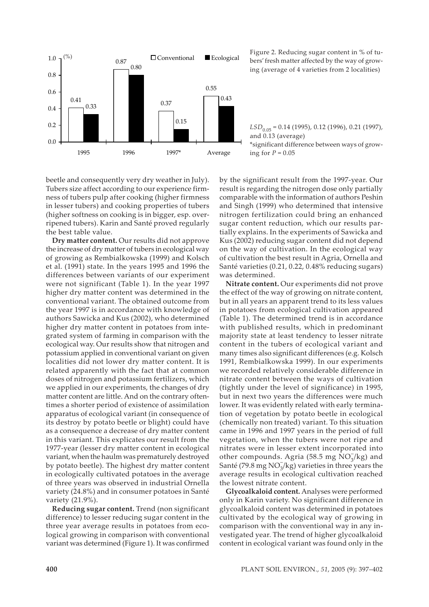

 $\Box$  Ecological Figure 2. Reducing sugar content in % of tu-<br> $\Box$  Conventional Ecological boxe freeh matter affected by the year of grow bers' fresh matter affected by the way of growing (average of 4 varieties from 2 localities)

*LSD*<sub>0.05</sub> = 0.14 (1995), 0.12 (1996), 0.21 (1997), and 0.13 (average) \*significant difference between ways of growing for  $P = 0.05$ 

beetle and consequently very dry weather in July). Tubers size affect according to our experience firmness of tubers pulp after cooking (higher firmness in lesser tubers) and cooking properties of tubers (higher softness on cooking is in bigger, esp. overripened tubers). Karin and Santé proved regularly the best table value.

**Dry matter content.** Our results did not approve the increase of dry matter of tubers in ecological way of growing as Rembialkowska (1999) and Kolsch et al. (1991) state. In the years 1995 and 1996 the differences between variants of our experiment were not significant (Table 1). In the year 1997 higher dry matter content was determined in the conventional variant. The obtained outcome from the year 1997 is in accordance with knowledge of authors Sawicka and Kus (2002), who determined higher dry matter content in potatoes from integrated system of farming in comparison with the ecological way. Our results show that nitrogen and potassium applied in conventional variant on given localities did not lower dry matter content. It is related apparently with the fact that at common doses of nitrogen and potassium fertilizers, which we applied in our experiments, the changes of dry matter content are little. And on the contrary oftentimes a shorter period of existence of assimilation apparatus of ecological variant (in consequence of its destroy by potato beetle or blight) could have as a consequence a decrease of dry matter content in this variant. This explicates our result from the 1977-year (lesser dry matter content in ecological variant, when the haulm was prematurely destroyed by potato beetle). The highest dry matter content in ecologically cultivated potatoes in the average of three years was observed in industrial Ornella variety (24.8%) and in consumer potatoes in Santé variety (21.9%).

**Reducing sugar content.** Trend (non significant difference) to lesser reducing sugar content in the three year average results in potatoes from ecological growing in comparison with conventional variant was determined (Figure 1). It was confirmed by the significant result from the 1997-year. Our result is regarding the nitrogen dose only partially comparable with the information of authors Peshin and Singh (1999) who determined that intensive nitrogen fertilization could bring an enhanced sugar content reduction, which our results partially explains. In the experiments of Sawicka and Kus (2002) reducing sugar content did not depend on the way of cultivation. In the ecological way of cultivation the best result in Agria, Ornella and Santé varieties (0.21, 0.22, 0.48% reducing sugars) was determined.

**Nitrate content.** Our experiments did not prove the effect of the way of growing on nitrate content, but in all years an apparent trend to its less values in potatoes from ecological cultivation appeared (Table 1). The determined trend is in accordance with published results, which in predominant majority state at least tendency to lesser nitrate content in the tubers of ecological variant and many times also significant differences (e.g. Kolsch 1991, Rembialkowska 1999). In our experiments we recorded relatively considerable difference in nitrate content between the ways of cultivation (tightly under the level of significance) in 1995, but in next two years the differences were much lower. It was evidently related with early termination of vegetation by potato beetle in ecological (chemically non treated) variant. To this situation came in 1996 and 1997 years in the period of full vegetation, when the tubers were not ripe and nitrates were in lesser extent incorporated into other compounds. Agria (58.5 mg  $NO_3^-(kg)$  and Santé (79.8 mg  $NO_3^-/kg$ ) varieties in three years the average results in ecological cultivation reached the lowest nitrate content.

**Glycoalkaloid content.** Analyses were performed only in Karin variety. No significant difference in glycoalkaloid content was determined in potatoes cultivated by the ecological way of growing in comparison with the conventional way in any investigated year. The trend of higher glycoalkaloid content in ecological variant was found only in the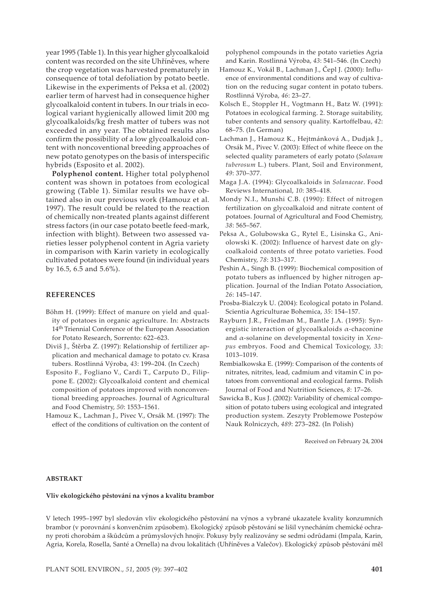year 1995 (Table 1). In this year higher glycoalkaloid content was recorded on the site Uhříněves, where the crop vegetation was harvested prematurely in consequence of total defoliation by potato beetle. Likewise in the experiments of Peksa et al. (2002) earlier term of harvest had in consequence higher glycoalkaloid content in tubers. In our trials in ecological variant hygienically allowed limit 200 mg glycoalkaloids/kg fresh matter of tubers was not exceeded in any year. The obtained results also confirm the possibility of a low glycoalkaloid content with noncoventional breeding approaches of new potato genotypes on the basis of interspecific hybrids (Esposito et al. 2002).

**Polyphenol content.** Higher total polyphenol content was shown in potatoes from ecological growing (Table 1). Similar results we have obtained also in our previous work (Hamouz et al. 1997). The result could be related to the reaction of chemically non-treated plants against different stress factors (in our case potato beetle feed-mark, infection with blight). Between two assessed varieties lesser polyphenol content in Agria variety in comparison with Karin variety in ecologically cultivated potatoes were found (in individual years by 16.5, 6.5 and 5.6%).

#### **REFERENCES**

- Böhm H. (1999): Effect of manure on yield and quality of potatoes in organic agriculture. In: Abstracts 14th Triennial Conference of the European Association for Potato Research, Sorrento: 622–623.
- Diviš J., Štěrba Z. (1997): Relationship of fertilizer application and mechanical damage to potato cv. Krasa tubers. Rostlinná Výroba, *43*: 199–204. (In Czech)
- Esposito F., Fogliano V., Cardi T., Carputo D., Filippone E. (2002): Glycoalkaloid content and chemical composition of potatoes improved with nonconventional breeding approaches. Journal of Agricultural and Food Chemistry, *50*: 1553–1561.
- Hamouz K., Lachman J., Pivec V., Orsák M. (1997): The effect of the conditions of cultivation on the content of

polyphenol compounds in the potato varieties Agria and Karin. Rostlinná Výroba, *43*: 541–546. (In Czech)

- Hamouz K., Vokál B., Lachman J., Čepl J. (2000): Influence of environmental conditions and way of cultivation on the reducing sugar content in potato tubers. Rostlinná Výroba, *46*: 23–27.
- Kolsch E., Stoppler H., Vogtmann H., Batz W. (1991): Potatoes in ecological farming. 2. Storage suitability, tuber contents and sensory quality. Kartoffelbau, *42*: 68–75. (In German)
- Lachman J., Hamouz K., Hejtmánková A., Dudjak J., Orsák M., Pivec V. (2003): Effect of white fleece on the selected quality parameters of early potato (*Solanum tuberosum* L.) tubers. Plant, Soil and Environment, *49*: 370–377.
- Maga J.A. (1994): Glycoalkaloids in *Solanaceae*. Food Reviews International, *10*: 385–418.
- Mondy N.I., Munshi C.B. (1990): Effect of nitrogen fertilization on glycoalkaloid and nitrate content of potatoes. Journal of Agricultural and Food Chemistry, *38*: 565–567.
- Peksa A., Golubowska G., Rytel E., Lisinska G., Aniolowski K. (2002): Influence of harvest date on glycoalkaloid contents of three potato varieties. Food Chemistry, *78*: 313–317.
- Peshin A., Singh B. (1999): Biochemical composition of potato tubers as influenced by higher nitrogen application. Journal of the Indian Potato Association, *26*: 145–147.
- Prosba-Bialczyk U. (2004): Ecological potato in Poland. Scientia Agriculturae Bohemica, *35*: 154–157.
- Rayburn J.R., Friedman M., Bantle J.A. (1995): Synergistic interaction of glycoalkaloids α-chaconine and α-solanine on developmental toxicity in *Xenopus* embryos. Food and Chemical Toxicology, *33*: 1013–1019.
- Rembialkowska E. (1999): Comparison of the contents of nitrates, nitrites, lead, cadmium and vitamin C in potatoes from conventional and ecological farms. Polish Journal of Food and Nutrition Sciences, *8*: 17–26.
- Sawicka B., Kus J. (2002): Variability of chemical composition of potato tubers using ecological and integrated production system. Zeszyty Problemowe Postepów Nauk Rolniczych, *489*: 273–282. (In Polish)

Received on February 24, 2004

#### **ABSTRAKT**

#### **Vliv ekologického pěstování na výnos a kvalitu brambor**

V letech 1995–1997 byl sledován vliv ekologického pěstování na výnos a vybrané ukazatele kvality konzumních brambor (v porovnání s konvenčním způsobem). Ekologický způsob pěstování se lišil vynecháním chemické ochrany proti chorobám a škůdcům a průmyslových hnojiv. Pokusy byly realizovány se sedmi odrůdami (Impala, Karin, Agria, Korela, Rosella, Santé a Ornella) na dvou lokalitách (Uhříněves a Valečov). Ekologický způsob pěstování měl